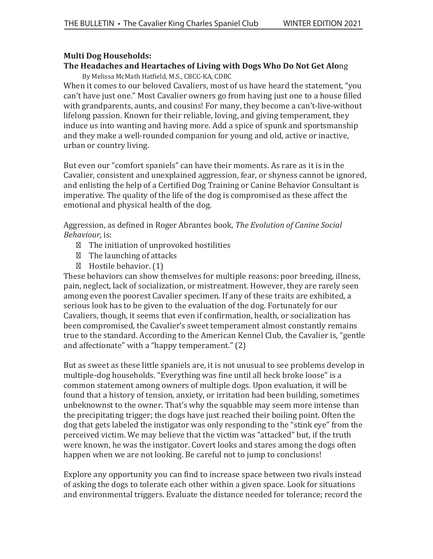### **Multi Dog Households:**

# **The Headaches and Heartaches of Living with Dogs Who Do Not Get Alo**ng

By Melissa McMath Hat�ield, M.S., CBCC-KA, CDBC

When it comes to our beloved Cavaliers, most of us have heard the statement, "you can't have just one." Most Cavalier owners go from having just one to a house filled with grandparents, aunts, and cousins! For many, they become a can't-live-without lifelong passion. Known for their reliable, loving, and giving temperament, they induce us into wanting and having more. Add a spice of spunk and sportsmanship and they make a well-rounded companion for young and old, active or inactive, urban or country living.

But even our "comfort spaniels" can have their moments. As rare as it is in the Cavalier, consistent and unexplained aggression, fear, or shyness cannot be ignored, and enlisting the help of a Certified Dog Training or Canine Behavior Consultant is imperative. The quality of the life of the dog is compromised as these affect the emotional and physical health of the dog.

Aggression, as de�ined in Roger Abrantes book, *The Evolution of Canine Social Behaviour,* is:

The initiation of unprovoked hostilities

The launching of attacks

Hostile behavior. (1)

These behaviors can show themselves for multiple reasons: poor breeding, illness, pain, neglect, lack of socialization, or mistreatment. However, they are rarely seen among even the poorest Cavalier specimen. If any of these traits are exhibited, a serious look has to be given to the evaluation of the dog. Fortunately for our Cavaliers, though, it seems that even if con�irmation, health, or socialization has been compromised, the Cavalier's sweet temperament almost constantly remains true to the standard. According to the American Kennel Club, the Cavalier is, "gentle and affectionate" with a "happy temperament." (2)

But as sweet as these little spaniels are, it is not unusual to see problems develop in multiple-dog households. "Everything was �ine until all heck broke loose" is a common statement among owners of multiple dogs. Upon evaluation, it will be found that a history of tension, anxiety, or irritation had been building, sometimes unbeknownst to the owner. That's why the squabble may seem more intense than the precipitating trigger; the dogs have just reached their boiling point. Often the dog that gets labeled the instigator was only responding to the "stink eye" from the perceived victim. We may believe that the victim was "attacked" but, if the truth were known, he was the instigator. Covert looks and stares among the dogs often happen when we are not looking. Be careful not to jump to conclusions!

Explore any opportunity you can find to increase space between two rivals instead of asking the dogs to tolerate each other within a given space. Look for situations and environmental triggers. Evaluate the distance needed for tolerance; record the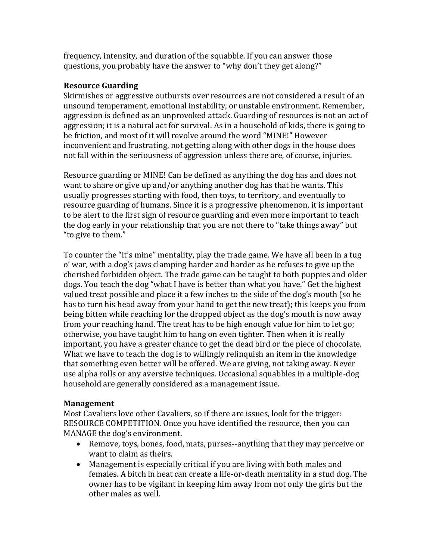frequency, intensity, and duration of the squabble. If you can answer those questions, you probably have the answer to "why don't they get along?"

# **Resource Guarding**

Skirmishes or aggressive outbursts over resources are not considered a result of an unsound temperament, emotional instability, or unstable environment. Remember, aggression is defined as an unprovoked attack. Guarding of resources is not an act of aggression; it is a natural act for survival. As in a household of kids, there is going to be friction, and most of it will revolve around the word "MINE!" However inconvenient and frustrating, not getting along with other dogs in the house does not fall within the seriousness of aggression unless there are, of course, injuries.

Resource guarding or MINE! Can be defined as anything the dog has and does not want to share or give up and/or anything another dog has that he wants. This usually progresses starting with food, then toys, to territory, and eventually to resource guarding of humans. Since it is a progressive phenomenon, it is important to be alert to the first sign of resource guarding and even more important to teach the dog early in your relationship that you are not there to "take things away" but "to give to them."

To counter the "it's mine" mentality, play the trade game. We have all been in a tug o' war, with a dog's jaws clamping harder and harder as he refuses to give up the cherished forbidden object. The trade game can be taught to both puppies and older dogs. You teach the dog "what I have is better than what you have." Get the highest valued treat possible and place it a few inches to the side of the dog's mouth (so he has to turn his head away from your hand to get the new treat); this keeps you from being bitten while reaching for the dropped object as the dog's mouth is now away from your reaching hand. The treat has to be high enough value for him to let go; otherwise, you have taught him to hang on even tighter. Then when it is really important, you have a greater chance to get the dead bird or the piece of chocolate. What we have to teach the dog is to willingly relinquish an item in the knowledge that something even better will be offered. We are giving, not taking away. Never use alpha rolls or any aversive techniques. Occasional squabbles in a multiple-dog household are generally considered as a management issue.

# **Management**

Most Cavaliers love other Cavaliers, so if there are issues, look for the trigger: RESOURCE COMPETITION. Once you have identified the resource, then you can MANAGE the dog's environment.

- Remove, toys, bones, food, mats, purses--anything that they may perceive or want to claim as theirs.
- Management is especially critical if you are living with both males and females. A bitch in heat can create a life-or-death mentality in a stud dog. The owner has to be vigilant in keeping him away from not only the girls but the other males as well.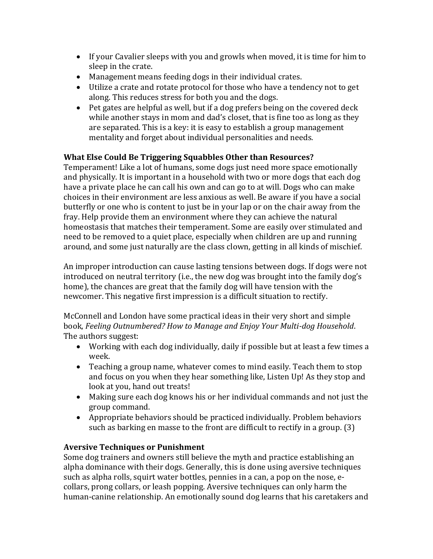- If your Cavalier sleeps with you and growls when moved, it is time for him to sleep in the crate.
- Management means feeding dogs in their individual crates.
- Utilize a crate and rotate protocol for those who have a tendency not to get along. This reduces stress for both you and the dogs.
- Pet gates are helpful as well, but if a dog prefers being on the covered deck while another stays in mom and dad's closet, that is fine too as long as they are separated. This is a key: it is easy to establish a group management mentality and forget about individual personalities and needs.

### **What Else Could Be Triggering Squabbles Other than Resources?**

Temperament! Like a lot of humans, some dogs just need more space emotionally and physically. It is important in a household with two or more dogs that each dog have a private place he can call his own and can go to at will. Dogs who can make choices in their environment are less anxious as well. Be aware if you have a social butterfly or one who is content to just be in your lap or on the chair away from the fray. Help provide them an environment where they can achieve the natural homeostasis that matches their temperament. Some are easily over stimulated and need to be removed to a quiet place, especially when children are up and running around, and some just naturally are the class clown, getting in all kinds of mischief.

An improper introduction can cause lasting tensions between dogs. If dogs were not introduced on neutral territory (i.e., the new dog was brought into the family dog's home), the chances are great that the family dog will have tension with the newcomer. This negative first impression is a difficult situation to rectify.

McConnell and London have some practical ideas in their very short and simple book, *Feeling Outnumbered? How to Manage and Enjoy Your Multi-dog Household*. The authors suggest:

- Working with each dog individually, daily if possible but at least a few times a week.
- Teaching a group name, whatever comes to mind easily. Teach them to stop and focus on you when they hear something like, Listen Up! As they stop and look at you, hand out treats!
- Making sure each dog knows his or her individual commands and not just the group command.
- Appropriate behaviors should be practiced individually. Problem behaviors such as barking en masse to the front are difficult to rectify in a group. (3)

### **Aversive Techniques or Punishment**

Some dog trainers and owners still believe the myth and practice establishing an alpha dominance with their dogs. Generally, this is done using aversive techniques such as alpha rolls, squirt water bottles, pennies in a can, a pop on the nose, ecollars, prong collars, or leash popping. Aversive techniques can only harm the human-canine relationship. An emotionally sound dog learns that his caretakers and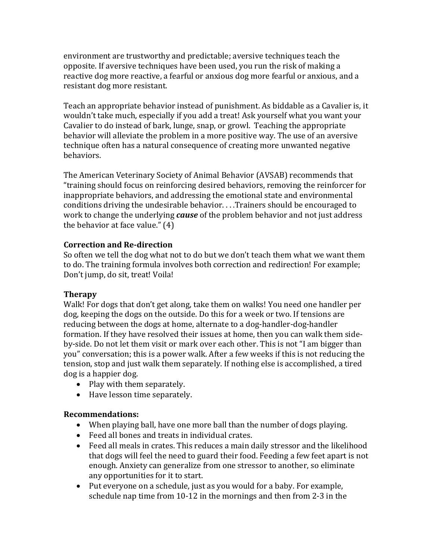environment are trustworthy and predictable; aversive techniques teach the opposite. If aversive techniques have been used, you run the risk of making a reactive dog more reactive, a fearful or anxious dog more fearful or anxious, and a resistant dog more resistant.

Teach an appropriate behavior instead of punishment. As biddable as a Cavalier is, it wouldn't take much, especially if you add a treat! Ask yourself what you want your Cavalier to do instead of bark, lunge, snap, or growl. Teaching the appropriate behavior will alleviate the problem in a more positive way. The use of an aversive technique often has a natural consequence of creating more unwanted negative behaviors.

The American Veterinary Society of Animal Behavior (AVSAB) recommends that "training should focus on reinforcing desired behaviors, removing the reinforcer for inappropriate behaviors, and addressing the emotional state and environmental conditions driving the undesirable behavior. . . .Trainers should be encouraged to work to change the underlying *cause* of the problem behavior and not just address the behavior at face value." (4)

### **Correction and Re-direction**

So often we tell the dog what not to do but we don't teach them what we want them to do. The training formula involves both correction and redirection! For example; Don't jump, do sit, treat! Voila!

### **Therapy**

Walk! For dogs that don't get along, take them on walks! You need one handler per dog, keeping the dogs on the outside. Do this for a week or two. If tensions are reducing between the dogs at home, alternate to a dog-handler-dog-handler formation. If they have resolved their issues at home, then you can walk them sideby-side. Do not let them visit or mark over each other. This is not "I am bigger than you" conversation; this is a power walk. After a few weeks if this is not reducing the tension, stop and just walk them separately. If nothing else is accomplished, a tired dog is a happier dog.

- Play with them separately.
- Have lesson time separately.

# **Recommendations:**

- When playing ball, have one more ball than the number of dogs playing.
- Feed all bones and treats in individual crates.
- Feed all meals in crates. This reduces a main daily stressor and the likelihood that dogs will feel the need to guard their food. Feeding a few feet apart is not enough. Anxiety can generalize from one stressor to another, so eliminate any opportunities for it to start.
- Put everyone on a schedule, just as you would for a baby. For example, schedule nap time from 10-12 in the mornings and then from 2-3 in the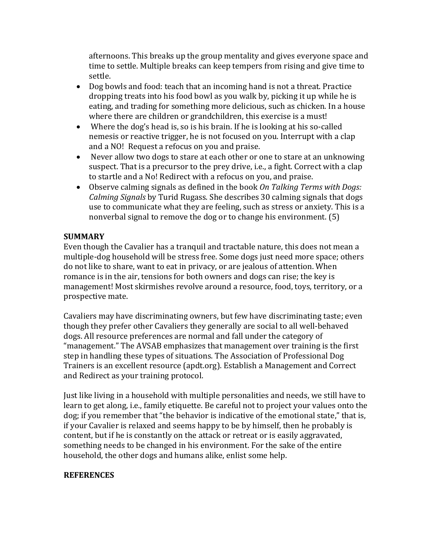afternoons. This breaks up the group mentality and gives everyone space and time to settle. Multiple breaks can keep tempers from rising and give time to settle.

- Dog bowls and food: teach that an incoming hand is not a threat. Practice dropping treats into his food bowl as you walk by, picking it up while he is eating, and trading for something more delicious, such as chicken. In a house where there are children or grandchildren, this exercise is a must!
- Where the dog's head is, so is his brain. If he is looking at his so-called nemesis or reactive trigger, he is not focused on you. Interrupt with a clap and a NO! Request a refocus on you and praise.
- Never allow two dogs to stare at each other or one to stare at an unknowing suspect. That is a precursor to the prey drive, i.e., a fight. Correct with a clap to startle and a No! Redirect with a refocus on you, and praise.
- Observe calming signals as defined in the book *On Talking Terms with Dogs: Calming Signals* by Turid Rugass. She describes 30 calming signals that dogs use to communicate what they are feeling, such as stress or anxiety. This is a nonverbal signal to remove the dog or to change his environment. (5)

### **SUMMARY**

Even though the Cavalier has a tranquil and tractable nature, this does not mean a multiple-dog household will be stress free. Some dogs just need more space; others do not like to share, want to eat in privacy, or are jealous of attention. When romance is in the air, tensions for both owners and dogs can rise; the key is management! Most skirmishes revolve around a resource, food, toys, territory, or a prospective mate.

Cavaliers may have discriminating owners, but few have discriminating taste; even though they prefer other Cavaliers they generally are social to all well-behaved dogs. All resource preferences are normal and fall under the category of "management." The AVSAB emphasizes that management over training is the first step in handling these types of situations. The Association of Professional Dog Trainers is an excellent resource (apdt.org). Establish a Management and Correct and Redirect as your training protocol.

Just like living in a household with multiple personalities and needs, we still have to learn to get along, i.e., family etiquette. Be careful not to project your values onto the dog; if you remember that "the behavior is indicative of the emotional state," that is, if your Cavalier is relaxed and seems happy to be by himself, then he probably is content, but if he is constantly on the attack or retreat or is easily aggravated, something needs to be changed in his environment. For the sake of the entire household, the other dogs and humans alike, enlist some help.

# **REFERENCES**